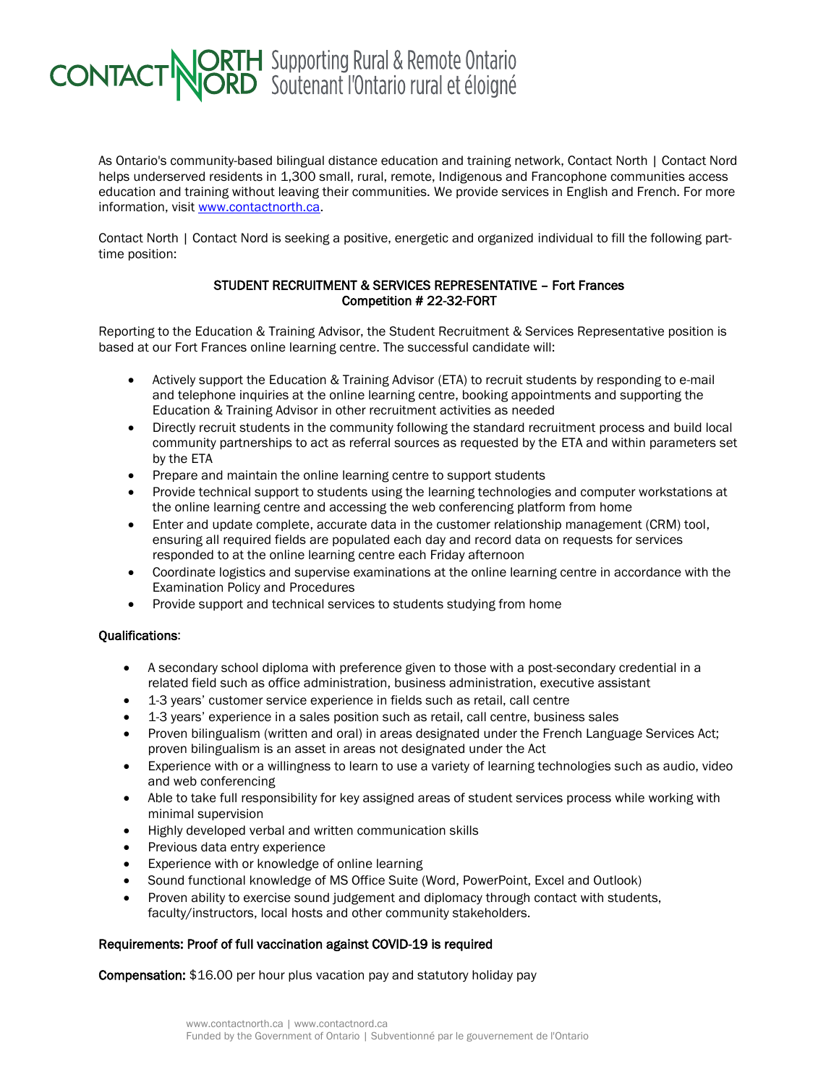## **CONTACT NORTH** Supporting Rural & Remote Ontario

As Ontario's community-based bilingual distance education and training network, Contact North | Contact Nord helps underserved residents in 1,300 small, rural, remote, Indigenous and Francophone communities access education and training without leaving their communities. We provide services in English and French. For more information, visit [www.contactnorth.ca.](http://www.contactnorth.ca/)

Contact North | Contact Nord is seeking a positive, energetic and organized individual to fill the following parttime position:

## STUDENT RECRUITMENT & SERVICES REPRESENTATIVE – Fort Frances Competition # 22-32-FORT

Reporting to the Education & Training Advisor, the Student Recruitment & Services Representative position is based at our Fort Frances online learning centre. The successful candidate will:

- Actively support the Education & Training Advisor (ETA) to recruit students by responding to e-mail and telephone inquiries at the online learning centre, booking appointments and supporting the Education & Training Advisor in other recruitment activities as needed
- Directly recruit students in the community following the standard recruitment process and build local community partnerships to act as referral sources as requested by the ETA and within parameters set by the ETA
- Prepare and maintain the online learning centre to support students
- Provide technical support to students using the learning technologies and computer workstations at the online learning centre and accessing the web conferencing platform from home
- Enter and update complete, accurate data in the customer relationship management (CRM) tool. ensuring all required fields are populated each day and record data on requests for services responded to at the online learning centre each Friday afternoon
- Coordinate logistics and supervise examinations at the online learning centre in accordance with the Examination Policy and Procedures
- Provide support and technical services to students studying from home

## Qualifications:

- A secondary school diploma with preference given to those with a post-secondary credential in a related field such as office administration, business administration, executive assistant
- 1-3 years' customer service experience in fields such as retail, call centre
- 1-3 years' experience in a sales position such as retail, call centre, business sales
- Proven bilingualism (written and oral) in areas designated under the French Language Services Act; proven bilingualism is an asset in areas not designated under the Act
- Experience with or a willingness to learn to use a variety of learning technologies such as audio, video and web conferencing
- Able to take full responsibility for key assigned areas of student services process while working with minimal supervision
- Highly developed verbal and written communication skills
- Previous data entry experience
- Experience with or knowledge of online learning
- Sound functional knowledge of MS Office Suite (Word, PowerPoint, Excel and Outlook)
- Proven ability to exercise sound judgement and diplomacy through contact with students, faculty/instructors, local hosts and other community stakeholders.

## Requirements: Proof of full vaccination against COVID-19 is required

Compensation: \$16.00 per hour plus vacation pay and statutory holiday pay